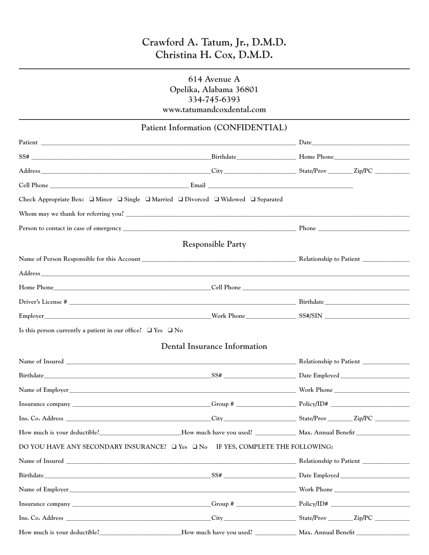# **Crawford A. Tatum, Jr., D.M.D. Christina H. Cox, D.M.D.**

## **614 Avenue A Opelika, Alabama 36801 334-745-6393 www.tatumandcoxdental.com**

|                                                                        | Patient Information (CONFIDENTIAL)                                                                                                                                                                            |  |
|------------------------------------------------------------------------|---------------------------------------------------------------------------------------------------------------------------------------------------------------------------------------------------------------|--|
|                                                                        |                                                                                                                                                                                                               |  |
|                                                                        |                                                                                                                                                                                                               |  |
|                                                                        | Address Eity State/Prov Eip/PC Companion City State/Prov Eip/PC Companion City                                                                                                                                |  |
|                                                                        |                                                                                                                                                                                                               |  |
|                                                                        | Check Appropriate Box: $\Box$ Minor $\Box$ Single $\Box$ Married $\Box$ Divorced $\Box$ Widowed $\Box$ Separated                                                                                              |  |
|                                                                        | Whom may we thank for referring you?                                                                                                                                                                          |  |
|                                                                        |                                                                                                                                                                                                               |  |
|                                                                        | <b>Responsible Party</b>                                                                                                                                                                                      |  |
|                                                                        |                                                                                                                                                                                                               |  |
|                                                                        |                                                                                                                                                                                                               |  |
|                                                                        | Home Phone <b>Solution</b> Cell Phone <b>Cell Phone Cell Phone Cell Phone Cell Phone Cell Phone Cell Phone Cell Phone Cell Phone Cell Phone Cell Phone Cell Phone Cell Phone Cell Phone Cell Phone Cell P</b> |  |
|                                                                        | Driver's License #                                                                                                                                                                                            |  |
|                                                                        | Employer North Work Phone SS#/SIN                                                                                                                                                                             |  |
| Is this person currently a patient in our office? $\Box$ Yes $\Box$ No |                                                                                                                                                                                                               |  |
|                                                                        | <b>Dental Insurance Information</b>                                                                                                                                                                           |  |
|                                                                        |                                                                                                                                                                                                               |  |
|                                                                        |                                                                                                                                                                                                               |  |
|                                                                        |                                                                                                                                                                                                               |  |
|                                                                        |                                                                                                                                                                                                               |  |
|                                                                        |                                                                                                                                                                                                               |  |
| How much is your deductible?                                           |                                                                                                                                                                                                               |  |
|                                                                        | DO YOU HAVE ANY SECONDARY INSURANCE? I Yes IN THE YES, COMPLETE THE FOLLOWING:                                                                                                                                |  |
|                                                                        |                                                                                                                                                                                                               |  |
|                                                                        |                                                                                                                                                                                                               |  |
|                                                                        |                                                                                                                                                                                                               |  |
|                                                                        |                                                                                                                                                                                                               |  |
|                                                                        |                                                                                                                                                                                                               |  |
|                                                                        | How much is your deductible?<br><u>How much have you used?</u><br>Max. Annual Benefit                                                                                                                         |  |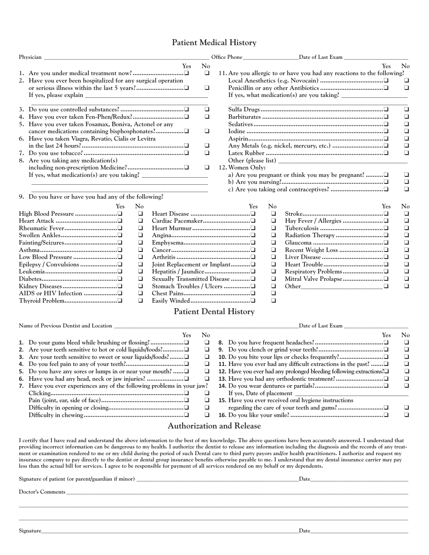## **Patient Medical History**

| Physician                                                     |                | Date of Last Exam                                                       |   |
|---------------------------------------------------------------|----------------|-------------------------------------------------------------------------|---|
| <b>Yes</b>                                                    | N <sub>o</sub> | <b>Yes</b>                                                              | N |
|                                                               | ⊔              | 11. Are you allergic to or have you had any reactions to the following? |   |
| 2. Have you ever been hospitalized for any surgical operation |                |                                                                         |   |
|                                                               | ⊔              |                                                                         |   |
|                                                               |                |                                                                         |   |
|                                                               | ப              |                                                                         |   |
|                                                               | ◻              |                                                                         |   |
| 5. Have you ever taken Fosamax, Boniva, Actonel or any        |                |                                                                         |   |
|                                                               | □              |                                                                         |   |
| 6. Have you taken Viagra, Revatio, Cialis or Levitra          |                |                                                                         |   |
|                                                               | □              |                                                                         |   |
|                                                               | □              |                                                                         |   |
| 8. Are you taking any medication(s)                           |                | Other (please list)                                                     |   |
|                                                               | ப              | 12. Women Only:                                                         |   |
| If yes, what medication(s) are you taking?                    |                | a) Are you pregnant or think you may be pregnant?                       |   |
|                                                               |                |                                                                         |   |

**\_\_\_\_\_\_\_\_\_\_\_\_\_\_\_\_\_\_\_\_\_\_\_\_\_\_\_\_\_\_\_\_\_\_\_\_\_\_\_\_\_\_\_\_\_\_\_\_\_\_\_\_\_\_\_\_**

**9. Do you have or have you had any of the following?**

| $\mathbf{N}\mathbf{0}$ | Yes                            | Nc |
|------------------------|--------------------------------|----|
|                        |                                |    |
| ப                      |                                |    |
| ப                      |                                | ⊔  |
| ⊔                      |                                | ⊔  |
| ⊔                      |                                |    |
|                        |                                | ப  |
| ப                      |                                | ❏  |
| ⊔                      | Joint Replacement or Implant   | ⊔  |
| ⊔                      | Hepatitis / Jaundice□          | ❏  |
| ப                      | Sexually Transmitted Disease □ | ◻  |
| ⊔                      | Stomach Troubles / Ulcers □    | ◻  |
|                        |                                | ❏  |
|                        |                                |    |
|                        |                                |    |

|                 |          | <b>Yes</b>                                                                                                                                                                                                                                                                                                                                                                                 | $N_0$    |
|-----------------|----------|--------------------------------------------------------------------------------------------------------------------------------------------------------------------------------------------------------------------------------------------------------------------------------------------------------------------------------------------------------------------------------------------|----------|
|                 |          | 11. Are you allergic to or have you had any reactions to the following?                                                                                                                                                                                                                                                                                                                    |          |
|                 |          |                                                                                                                                                                                                                                                                                                                                                                                            | ⊔        |
|                 |          |                                                                                                                                                                                                                                                                                                                                                                                            | n        |
|                 |          | If yes, what medication(s) are you taking? $\frac{1}{\sqrt{1-\frac{1}{\sqrt{1-\frac{1}{\sqrt{1-\frac{1}{\sqrt{1-\frac{1}{\sqrt{1-\frac{1}{\sqrt{1-\frac{1}{\sqrt{1-\frac{1}{\sqrt{1-\frac{1}{\sqrt{1-\frac{1}{\sqrt{1-\frac{1}{\sqrt{1-\frac{1}{\sqrt{1-\frac{1}{\sqrt{1-\frac{1}{\sqrt{1-\frac{1}{\sqrt{1-\frac{1}{\sqrt{1-\frac{1}{\sqrt{1-\frac{1}{\sqrt{1-\frac{1}{\sqrt{1-\frac{1}{\$ |          |
|                 |          |                                                                                                                                                                                                                                                                                                                                                                                            |          |
|                 |          |                                                                                                                                                                                                                                                                                                                                                                                            | □        |
|                 |          |                                                                                                                                                                                                                                                                                                                                                                                            | ப        |
|                 |          |                                                                                                                                                                                                                                                                                                                                                                                            | □        |
|                 |          |                                                                                                                                                                                                                                                                                                                                                                                            | □        |
|                 |          |                                                                                                                                                                                                                                                                                                                                                                                            | □        |
|                 |          |                                                                                                                                                                                                                                                                                                                                                                                            | □        |
|                 |          |                                                                                                                                                                                                                                                                                                                                                                                            | □        |
|                 |          |                                                                                                                                                                                                                                                                                                                                                                                            |          |
| 12. Women Only: |          |                                                                                                                                                                                                                                                                                                                                                                                            |          |
|                 |          | a) Are you pregnant or think you may be pregnant? $\Box$                                                                                                                                                                                                                                                                                                                                   | . .      |
|                 |          |                                                                                                                                                                                                                                                                                                                                                                                            | ┚        |
|                 |          |                                                                                                                                                                                                                                                                                                                                                                                            | n        |
|                 |          |                                                                                                                                                                                                                                                                                                                                                                                            |          |
| Yes             | $\rm No$ | Yes                                                                                                                                                                                                                                                                                                                                                                                        | $\rm No$ |
|                 | ◻        |                                                                                                                                                                                                                                                                                                                                                                                            | ❏        |
|                 | □        |                                                                                                                                                                                                                                                                                                                                                                                            | ❏        |
|                 | □        |                                                                                                                                                                                                                                                                                                                                                                                            | □        |
|                 | □        |                                                                                                                                                                                                                                                                                                                                                                                            | ❏        |
|                 | □        |                                                                                                                                                                                                                                                                                                                                                                                            | □        |
|                 | ◻        |                                                                                                                                                                                                                                                                                                                                                                                            | ◻        |
|                 | □        |                                                                                                                                                                                                                                                                                                                                                                                            | □        |
| □……………□         | □        |                                                                                                                                                                                                                                                                                                                                                                                            | ◻        |
|                 |          |                                                                                                                                                                                                                                                                                                                                                                                            |          |

**Respiratory Problems.......................**qq  $\Box$ <br>  $\Box$  **b**  $\Box$  **b**  $\Box$  **c**  $\Box$  **d**  $\Box$  **d**  $\Box$  **d**  $\Box$ **Other\_\_\_\_\_\_\_\_\_\_\_\_\_\_\_\_\_\_\_\_\_\_\_\_\_\_**qq

#### **Patient Dental History**

**Yes No 1.** Do your gums bleed while brushing or flossing?..........................□ □<br>**2.** Are your teeth sensitive to hot or cold liquids/foods?.............□ □ **2. Are your teeth sensitive to hot or cold liquids/foods?............**qq **3.** Are your teeth sensitive to sweet or sour liquids/foods?......... **4. Do you feel pain to any of your teeth?.................................**qq **5.** Do you have any sores or lumps in or near your mouth? ...... $\Box$ **6. Have you had any head, neck or jaw injuries? .....................**qq **7. Have you ever experiences any of the following problems in your jaw? Clicking............................................................................**qq **Pain (joint, ear, side of face)...............................................**qq **Difficulty in opening or closing...........................................**qq **Difficulty in chewing.........................................................**qq **Yes No 8. Do you have frequent headaches?.......................................**qq **9. Do you clench or grind your teeth?.....................................**qq **10. Do you bite your lips or checks frequently?.........................**qq **11.** Have you ever had any difficult extractions in the past?  $\ldots \square$ **12.** Have you ever had any prolonged bleeding following extractions? $\Box$ **13. Have you had any orthodontic treatment?...........................**qq **14. Do you wear dentures or partials?.......................................**qq **If yes, Date of placement \_\_\_\_\_\_\_\_\_\_\_\_\_\_\_\_\_\_\_\_\_\_\_\_\_\_\_\_\_\_\_\_\_\_\_\_\_ 15. Have you ever received oral hygiene instructions regarding the care of your teeth and gums?.................................** $\Box$ **16. Do you like your smile?.....................................................**qq Name of Previous Dentist and Location **by a structure of the control of the control of Last Exam Date of Last Exam** 

#### **Authorization and Release**

**I certify that I have read and understand the above information to the best of my knowledge. The above questions have been accurately answered. I understand that providing incorrect information can be dangerous to my health. I authorize the dentist to release any information including the diagnosis and the records of any treatment or examination rendered to me or my child during the period of such Dental care to third party payors and/or health practitioners. I authorize and request my insurance company to pay directly to the dentist or dental group insurance benefits otherwise payable to me. I understand that my dental insurance carrier may pay less than the actual bill for services. I agree to be responsible for payment of all services rendered on my behalf or my dependents.**

**Signature of patient (or parent/guardian if minor) \_\_\_\_\_\_\_\_\_\_\_\_\_\_\_\_\_\_\_\_\_\_\_\_\_\_\_\_\_\_\_\_\_\_\_\_\_\_\_\_\_\_\_\_\_\_\_\_\_\_\_\_\_\_\_\_\_\_Date\_\_\_\_\_\_\_\_\_\_\_\_\_\_\_\_\_\_\_\_\_\_\_\_\_\_\_\_\_\_\_\_\_\_\_ Doctor's Comments \_\_\_\_\_\_\_\_\_\_\_\_\_\_\_\_\_\_\_\_\_\_\_\_\_\_\_\_\_\_\_\_\_\_\_\_\_\_\_\_\_\_\_\_\_\_\_\_\_\_\_\_\_\_\_\_\_\_\_\_\_\_\_\_\_\_\_\_\_\_\_\_\_\_\_\_\_\_\_\_\_\_\_\_\_\_\_\_\_\_\_\_\_\_\_\_\_\_\_\_\_\_\_\_\_\_\_\_\_\_\_\_\_\_\_\_\_\_\_\_\_\_ \_\_\_\_\_\_\_\_\_\_\_\_\_\_\_\_\_\_\_\_\_\_\_\_\_\_\_\_\_\_\_\_\_\_\_\_\_\_\_\_\_\_\_\_\_\_\_\_\_\_\_\_\_\_\_\_\_\_\_\_\_\_\_\_\_\_\_\_\_\_\_\_\_\_\_\_\_\_\_\_\_\_\_\_\_\_\_\_\_\_\_\_\_\_\_\_\_\_\_\_\_\_\_\_\_\_\_\_\_\_\_\_\_\_\_\_\_\_\_\_\_\_\_\_\_\_\_\_\_\_\_\_\_\_\_\_\_\_\_ \_\_\_\_\_\_\_\_\_\_\_\_\_\_\_\_\_\_\_\_\_\_\_\_\_\_\_\_\_\_\_\_\_\_\_\_\_\_\_\_\_\_\_\_\_\_\_\_\_\_\_\_\_\_\_\_\_\_\_\_\_\_\_\_\_\_\_\_\_\_\_\_\_\_\_\_\_\_\_\_\_\_\_\_\_\_\_\_\_\_\_\_\_\_\_\_\_\_\_\_\_\_\_\_\_\_\_\_\_\_\_\_\_\_\_\_\_\_\_\_\_\_\_\_\_\_\_\_\_\_\_\_\_\_\_\_\_\_\_**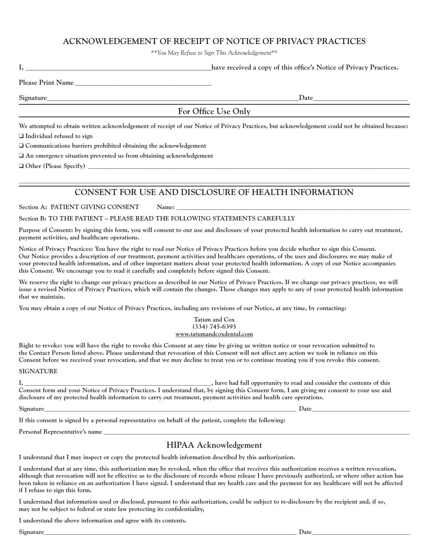## **ACKNOWLEDGEMENT OF RECEIPT OF NOTICE OF PRIVACY PRACTICES**

*\*\*You May Refuse to Sign This Acknowledgement\*\**

|                          | have received a copy of this office's Notice of Privacy Practices. |
|--------------------------|--------------------------------------------------------------------|
| <b>Please Print Name</b> |                                                                    |

**Signature\_\_\_\_\_\_\_\_\_\_\_\_\_\_\_\_\_\_\_\_\_\_\_\_\_\_\_\_\_\_\_\_\_\_\_\_\_\_\_\_\_\_\_\_\_\_\_\_\_\_\_\_\_\_\_\_\_\_\_\_\_\_\_\_\_\_\_\_\_\_\_\_Date\_\_\_\_\_\_\_\_\_\_\_\_\_\_\_\_\_\_\_\_\_\_\_\_\_\_\_**

#### **For Office Use Only**

**We attempted to obtain written acknowledgement of receipt of our Notice of Privacy Practices, but acknowledgement could not be obtained because:** □ Individual refused to sign

 $\Box$  Communications barriers prohibited obtaining the acknowledgement

 $\Box$  An emergency situation prevented us from obtaining acknowledgement

q **Other (Please Specify) \_\_\_\_\_\_\_\_\_\_\_\_\_\_\_\_\_\_\_\_\_\_\_\_\_\_\_\_\_\_\_\_\_\_\_\_\_\_\_\_\_\_\_\_\_\_\_\_\_\_\_\_\_\_\_\_\_\_\_\_\_\_\_\_\_\_\_\_\_\_\_\_\_\_\_\_\_\_\_\_\_\_\_\_\_\_\_\_\_\_\_\_\_\_\_\_\_\_\_\_\_\_**

## $\ldots$  . The contribution of the contribution of the contribution of the contribution of the contribution of the contribution of the contribution of the contribution of the contribution of the contribution of the contribut **CONSENT FOR USE AND DISCLOSURE OF HEALTH INFORMATION**

Section A: PATIENT GIVING CONSENT Name:

**Section B: TO THE PATIENT – PLEASE READ THE FOLLOWING STATEMENTS CAREFULLY**

**Purpose of Consent: by signing this form, you will consent to our use and disclosure of your protected health information to carry out treatment, payment activities, and healthcare operations.**

**Notice of Privacy Practices: You have the right to read our Notice of Privacy Practices before you decide whether to sign this Consent. Our Notice provides a description of our treatment, payment activities and healthcare operations, of the uses and disclosures we may make of your protected health information, and of other important matters about your protected health information. A copy of our Notice accompanies this Consent. We encourage you to read it carefully and completely before signed this Consent.**

We reserve the right to change our privacy practices as described in our Notice of Privacy Practices. If we change our privacy practices, we will **issue a revised Notice of Privacy Practices, which will contain the changes. Those changes may apply to any of your protected health information that we maintain.**

**You may obtain a copy of our Notice of Privacy Practices, including any revisions of our Notice, at any time, by contacting:**

#### **Tatum and Cox (334) 745-6393 www.tatumandcoxdental.com**

**Right to revoke: you will have the right to revoke this Consent at any time by giving us written notice or your revocation submitted to the Contact Person listed above. Please understand that revocation of this Consent will not affect any action we took in reliance on this Consent before we received your revocation, and that we may decline to treat you or to continue treating you if you revoke this consent.**

**SIGNATURE**

**I, \_\_\_\_\_\_\_\_\_\_\_\_\_\_\_\_\_\_\_\_\_\_\_\_\_\_\_\_\_\_\_\_\_\_\_\_\_\_\_\_\_\_\_\_\_\_\_\_\_\_\_\_\_\_\_\_\_\_\_, have had full opportunity to read and consider the contents of this Consent form and your Notice of Privacy Practices. I understand that, by signing this Consent form, I am giving my consent to your use and disclosure of my protected health information to carry out treatment, payment activities and health care operations.**

**Signature\_\_\_\_\_\_\_\_\_\_\_\_\_\_\_\_\_\_\_\_\_\_\_\_\_\_\_\_\_\_\_\_\_\_\_\_\_\_\_\_\_\_\_\_\_\_\_\_\_\_\_\_\_\_\_\_\_\_\_\_\_\_\_\_\_\_\_\_\_\_\_\_\_\_\_\_\_\_\_\_ Date\_\_\_\_\_\_\_\_\_\_\_\_\_\_\_\_\_\_\_\_\_\_\_\_\_\_\_\_\_\_\_**

**If this consent is signed by a personal representative on behalf of the patient, complete the following:**

**Personal Representative's name \_\_\_\_\_\_\_\_\_\_\_\_\_\_\_\_\_\_\_\_\_\_\_\_\_\_\_\_\_\_\_\_\_\_\_\_\_\_\_\_\_\_\_\_\_\_\_\_\_\_\_\_\_\_\_\_\_\_\_\_\_\_\_\_\_\_\_\_\_\_\_\_\_\_\_\_\_\_\_\_\_\_\_\_\_\_\_\_\_\_\_\_\_\_\_\_\_**

## **HIPAA Acknowledgement**

**I understand that I may inspect or copy the protected health information described by this authorization.**

**I understand that at any time, this authorization may be revoked, when the office that receives this authorization receives a written revocation, although that revocation will not be effective as to the disclosure of records whose release I have previously authorized, or where other action has been taken in reliance on an authorization I have signed. I understand that my health care and the payment for my healthcare will not be affected if I refuse to sign this form.**

**I understand that information used or disclosed, pursuant to this authorization, could be subject to re-disclosure by the recipient and, if so, may not be subject to federal or state law protecting its confidentiality,**

**I understand the above information and agree with its contents.**

**Signature\_\_\_\_\_\_\_\_\_\_\_\_\_\_\_\_\_\_\_\_\_\_\_\_\_\_\_\_\_\_\_\_\_\_\_\_\_\_\_\_\_\_\_\_\_\_\_\_\_\_\_\_\_\_\_\_\_\_\_\_\_\_\_\_\_\_\_\_\_\_\_\_\_\_\_\_\_\_\_\_ Date\_\_\_\_\_\_\_\_\_\_\_\_\_\_\_\_\_\_\_\_\_\_\_\_\_\_\_\_\_\_\_**